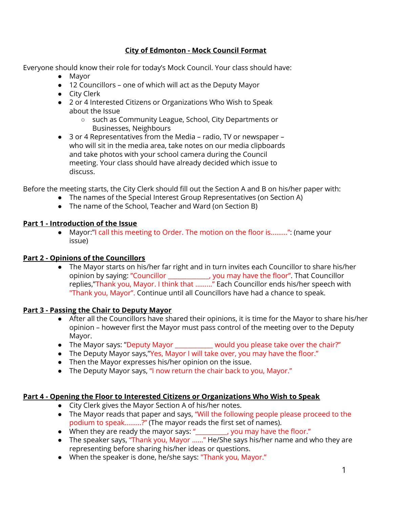### **City of Edmonton - Mock Council Format**

Everyone should know their role for today's Mock Council. Your class should have:

- Mayor
- 12 Councillors one of which will act as the Deputy Mayor
- City Clerk
- 2 or 4 Interested Citizens or Organizations Who Wish to Speak about the Issue
	- such as Community League, School, City Departments or Businesses, Neighbours
- 3 or 4 Representatives from the Media radio, TV or newspaper who will sit in the media area, take notes on our media clipboards and take photos with your school camera during the Council meeting. Your class should have already decided which issue to discuss.

Before the meeting starts, the City Clerk should fill out the Section A and B on his/her paper with:

- The names of the Special Interest Group Representatives (on Section A)
- The name of the School, Teacher and Ward (on Section B)

### **Part 1 - Introduction of the Issue**

● Mayor:"I call this meeting to Order. The motion on the floor is.........": (name your issue)

# **Part 2 - Opinions of the Councillors**

● The Mayor starts on his/her far right and in turn invites each Councillor to share his/her opinion by saying: "Councillor \_\_\_\_\_\_\_\_\_\_\_\_\_, you may have the floor". That Councillor replies,"Thank you, Mayor. I think that ........." Each Councillor ends his/her speech with "Thank you, Mayor". Continue until all Councillors have had a chance to speak.

# **Part 3 - Passing the Chair to Deputy Mayor**

- After all the Councillors have shared their opinions, it is time for the Mayor to share his/her opinion – however first the Mayor must pass control of the meeting over to the Deputy Mayor.
- The Mayor says: "Deputy Mayor \_\_\_\_\_\_\_\_\_\_\_\_ would you please take over the chair?"
- The Deputy Mayor says, "Yes, Mayor I will take over, you may have the floor."
- Then the Mayor expresses his/her opinion on the issue.
- The Deputy Mayor says, "I now return the chair back to you, Mayor."

### **Part 4 - Opening the Floor to Interested Citizens or Organizations Who Wish to Speak**

- City Clerk gives the Mayor Section A of his/her notes.
- The Mayor reads that paper and says, "Will the following people please proceed to the podium to speak.........?" (The mayor reads the first set of names).
- When they are ready the mayor says: "\_\_\_\_\_\_\_\_\_, you may have the floor."
- The speaker says, "Thank you, Mayor ......" He/She says his/her name and who they are representing before sharing his/her ideas or questions.
- When the speaker is done, he/she says: "Thank you, Mayor."